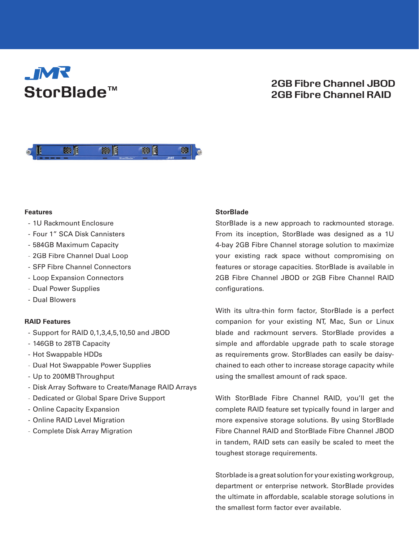# **JMR** StorBlade<sup>™</sup>

# 2GB Fibre Channel JBOD 2GB Fibre Channel RAID



#### **Features**

- 1U Rackmount Enclosure
- Four 1" SCA Disk Cannisters
- 584GB Maximum Capacity
- 2GB Fibre Channel Dual Loop
- SFP Fibre Channel Connectors
- Loop Expansion Connectors
- Dual Power Supplies
- Dual Blowers

#### **RAID Features**

- Support for RAID 0,1,3,4,5,10,50 and JBOD
- 146GB to 28TB Capacity
- Hot Swappable HDDs
- Dual Hot Swappable Power Supplies
- Up to 200MB Throughput
- Disk Array Software to Create/Manage RAID Arrays
- Dedicated or Global Spare Drive Support
- Online Capacity Expansion
- Online RAID Level Migration
- Complete Disk Array Migration

#### **StorBlade**

StorBlade is a new approach to rackmounted storage. From its inception, StorBlade was designed as a 1U 4-bay 2GB Fibre Channel storage solution to maximize your existing rack space without compromising on features or storage capacities. StorBlade is available in 2GB Fibre Channel JBOD or 2GB Fibre Channel RAID configurations.

With its ultra-thin form factor, StorBlade is a perfect companion for your existing NT, Mac, Sun or Linux blade and rackmount servers. StorBlade provides a simple and affordable upgrade path to scale storage as requirements grow. StorBlades can easily be daisychained to each other to increase storage capacity while using the smallest amount of rack space.

With StorBlade Fibre Channel RAID, you'll get the complete RAID feature set typically found in larger and more expensive storage solutions. By using StorBlade Fibre Channel RAID and StorBlade Fibre Channel JBOD in tandem, RAID sets can easily be scaled to meet the toughest storage requirements.

Storblade is a great solution for your existing workgroup, department or enterprise network. StorBlade provides the ultimate in affordable, scalable storage solutions in the smallest form factor ever available.